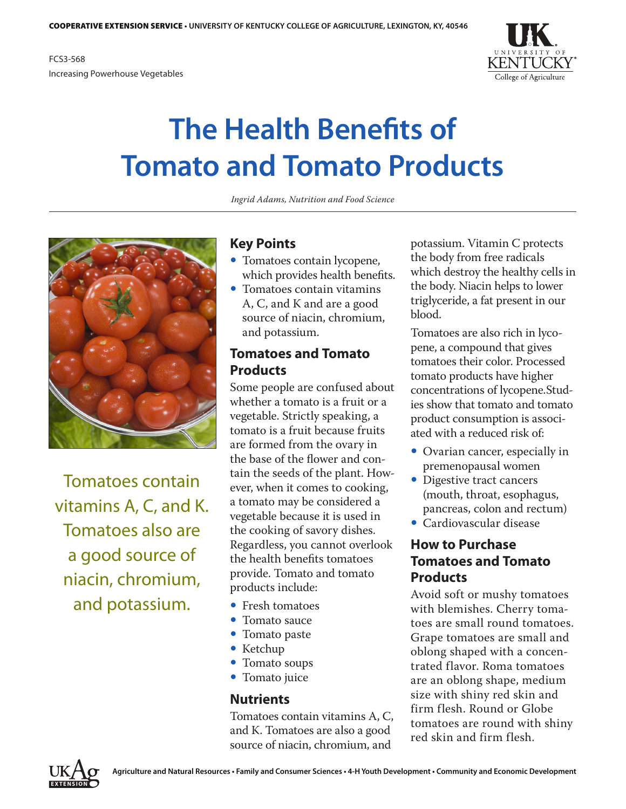

# **The Health Benefits of Tomato and Tomato Products**

*Ingrid Adams, Nutrition and Food Science*



Tomatoes contain vitamins A, C, and K. Tomatoes also are a good source of niacin, chromium, and potassium.

## **Key Points**

- Tomatoes contain lycopene, which provides health benefits.
- $\bullet$  Tomatoes contain vitamins A, C, and K and are a good source of niacin, chromium, and potassium.

#### **Tomatoes and Tomato Products**

Some people are confused about whether a tomato is a fruit or a vegetable. Strictly speaking, a tomato is a fruit because fruits are formed from the [ovary](http://oxforddictionaries.com/definition/ovary) in the base of the flower and contain the seeds of the plant. However, when it comes to cooking, a tomato may be considered a vegetable because it is used in the cooking of savory dishes. Regardless, you cannot overlook the health benefits tomatoes provide. Tomato and tomato products include:

- Fresh tomatoes
- $\bullet$  Tomato sauce
- $\bullet$  Tomato paste
- $\bullet$  Ketchup
- Tomato soups
- Tomato juice

#### **Nutrients**

Tomatoes contain vitamins A, C, and K. Tomatoes are also a good source of niacin, chromium, and

potassium. Vitamin C protects the body from free radicals which destroy the healthy cells in the body. Niacin helps to lower triglyceride, a fat present in our blood.

Tomatoes are also rich in lycopene, a compound that gives tomatoes their color. Processed tomato products have higher concentrations of lycopene.Studies show that tomato and tomato product consumption is associated with a reduced risk of:

- Ovarian cancer, especially in premenopausal women
- Digestive tract cancers (mouth, throat, esophagus, pancreas, colon and rectum)
- Cardiovascular disease

## **How to Purchase Tomatoes and Tomato Products**

Avoid soft or mushy tomatoes with blemishes. Cherry tomatoes are small round tomatoes. Grape tomatoes are small and oblong shaped with a concentrated flavor. Roma tomatoes are an oblong shape, medium size with shiny red skin and firm flesh. Round or Globe tomatoes are round with shiny red skin and firm flesh.

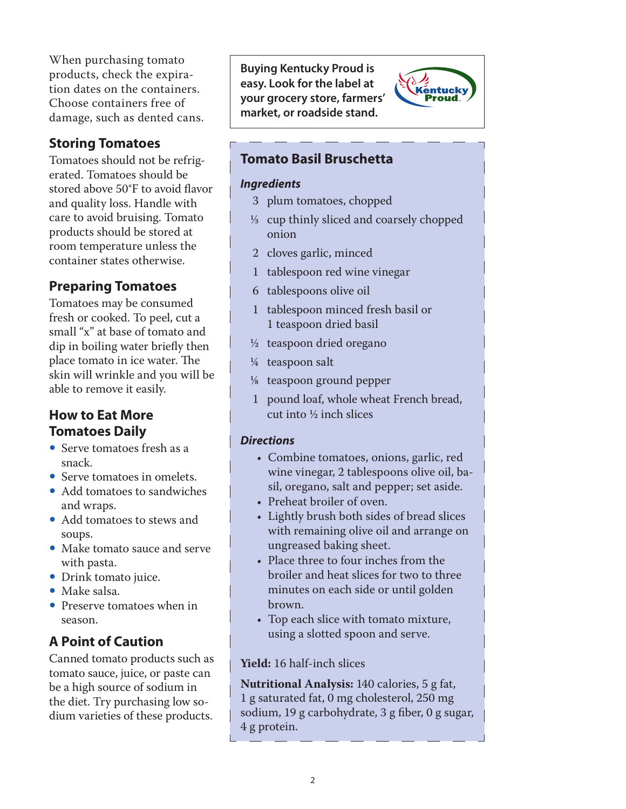When purchasing tomato products, check the expiration dates on the containers. Choose containers free of damage, such as dented cans.

## **Storing Tomatoes**

Tomatoes should not be refrigerated. Tomatoes should be stored above 50°F to avoid flavor and quality loss. Handle with care to avoid bruising. Tomato products should be stored at room temperature unless the container states otherwise.

# **Preparing Tomatoes**

Tomatoes may be consumed fresh or cooked. To peel, cut a small "x" at base of tomato and dip in boiling water briefly then place tomato in ice water. The skin will wrinkle and you will be able to remove it easily.

## **How to Eat More Tomatoes Daily**

- Serve tomatoes fresh as a snack.
- Serve tomatoes in omelets.
- Add tomatoes to sandwiches and wraps.
- Add tomatoes to stews and soups.
- Make tomato sauce and serve with pasta.
- Drink tomato juice.
- Make salsa.
- Preserve tomatoes when in season.

# **A Point of Caution**

Canned tomato products such as tomato sauce, juice, or paste can be a high source of sodium in the diet. Try purchasing low sodium varieties of these products.

**Buying Kentucky Proud is easy. Look for the label at your grocery store, farmers' market, or roadside stand.**



## **Tomato Basil Bruschetta**

#### *Ingredients*

- 3 plum tomatoes, chopped
- $\frac{1}{3}$  cup thinly sliced and coarsely chopped onion
- 2 cloves garlic, minced
- 1 tablespoon red wine vinegar
- 6 tablespoons olive oil
- 1 tablespoon minced fresh basil or 1 teaspoon dried basil
- ½ teaspoon dried oregano
- ¼ teaspoon salt
- 1/8 teaspoon ground pepper
- 1 pound loaf, whole wheat French bread, cut into ½ inch slices

#### *Directions*

- Combine tomatoes, onions, garlic, red wine vinegar, 2 tablespoons olive oil, basil, oregano, salt and pepper; set aside.
- Preheat broiler of oven.
- Lightly brush both sides of bread slices with remaining olive oil and arrange on ungreased baking sheet.
- Place three to four inches from the broiler and heat slices for two to three minutes on each side or until golden brown.
- Top each slice with tomato mixture, using a slotted spoon and serve.

#### **Yield:** 16 half-inch slices

**Nutritional Analysis:** 140 calories, 5 g fat, 1 g saturated fat, 0 mg cholesterol, 250 mg sodium, 19 g carbohydrate, 3 g fiber, 0 g sugar, 4 g protein.